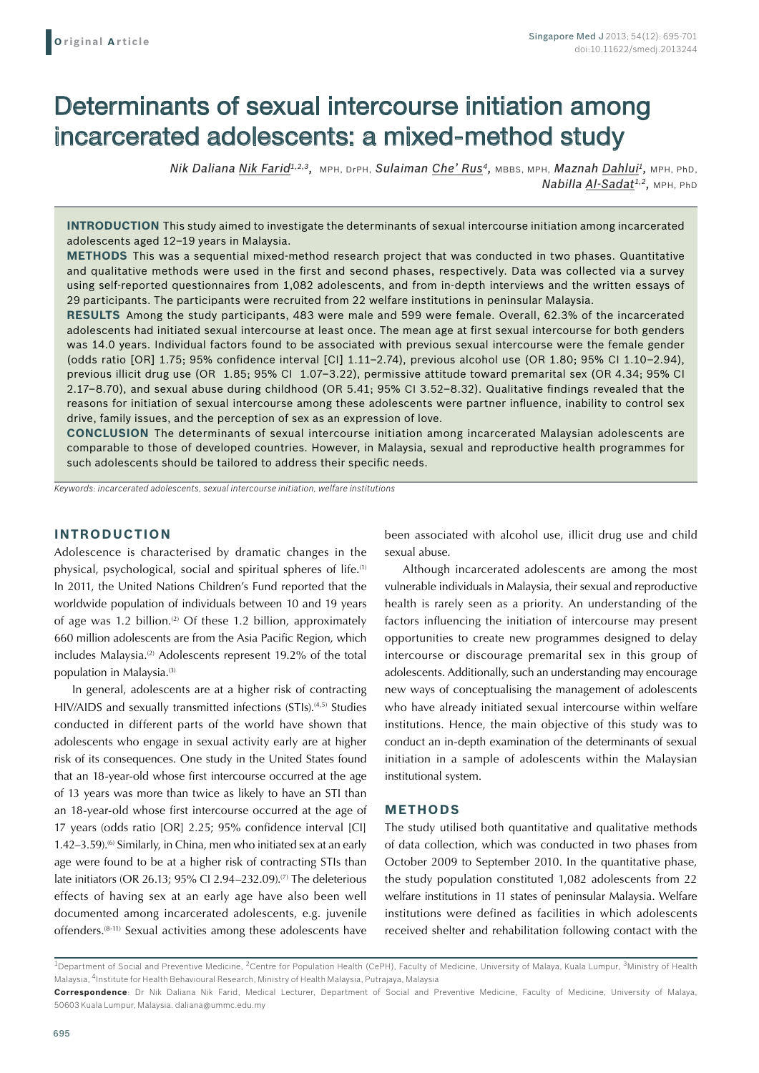# Determinants of sexual intercourse initiation among incarcerated adolescents: a mixed-method study

*Nik Daliana Nik Farid1,2,3,* MPH, DrPH, *Sulaiman Che' Rus4,* MBBS, MPH, *Maznah Dahlui1,* MPH, PhD, *Nabilla Al-Sadat1,2,* MPH, PhD

**Introduction** This study aimed to investigate the determinants of sexual intercourse initiation among incarcerated adolescents aged 12–19 years in Malaysia.

**Methods** This was a sequential mixed-method research project that was conducted in two phases. Quantitative and qualitative methods were used in the first and second phases, respectively. Data was collected via a survey using self-reported questionnaires from 1,082 adolescents, and from in-depth interviews and the written essays of 29 participants. The participants were recruited from 22 welfare institutions in peninsular Malaysia.

**Results** Among the study participants, 483 were male and 599 were female. Overall, 62.3% of the incarcerated adolescents had initiated sexual intercourse at least once. The mean age at first sexual intercourse for both genders was 14.0 years. Individual factors found to be associated with previous sexual intercourse were the female gender (odds ratio [OR] 1.75; 95% confidence interval [CI] 1.11–2.74), previous alcohol use (OR 1.80; 95% CI 1.10–2.94), previous illicit drug use (OR 1.85; 95% CI 1.07–3.22), permissive attitude toward premarital sex (OR 4.34; 95% CI 2.17–8.70), and sexual abuse during childhood (OR 5.41; 95% CI 3.52–8.32). Qualitative findings revealed that the reasons for initiation of sexual intercourse among these adolescents were partner influence, inability to control sex drive, family issues, and the perception of sex as an expression of love.

**Conclusion** The determinants of sexual intercourse initiation among incarcerated Malaysian adolescents are comparable to those of developed countries. However, in Malaysia, sexual and reproductive health programmes for such adolescents should be tailored to address their specific needs.

*Keywords: incarcerated adolescents, sexual intercourse initiation, welfare institutions*

## **INTRODUCTION**

Adolescence is characterised by dramatic changes in the physical, psychological, social and spiritual spheres of life.(1) In 2011, the United Nations Children's Fund reported that the worldwide population of individuals between 10 and 19 years of age was 1.2 billion.<sup>(2)</sup> Of these 1.2 billion, approximately 660 million adolescents are from the Asia Pacific Region, which includes Malaysia.<sup>(2)</sup> Adolescents represent 19.2% of the total population in Malaysia.<sup>(3)</sup>

In general, adolescents are at a higher risk of contracting HIV/AIDS and sexually transmitted infections (STIs).<sup>(4,5)</sup> Studies conducted in different parts of the world have shown that adolescents who engage in sexual activity early are at higher risk of its consequences. One study in the United States found that an 18-year-old whose first intercourse occurred at the age of 13 years was more than twice as likely to have an STI than an 18-year-old whose first intercourse occurred at the age of 17 years (odds ratio [OR] 2.25; 95% confidence interval [CI] 1.42–3.59).<sup>(6)</sup> Similarly, in China, men who initiated sex at an early age were found to be at a higher risk of contracting STIs than late initiators (OR 26.13; 95% CI 2.94–232.09).(7) The deleterious effects of having sex at an early age have also been well documented among incarcerated adolescents, e.g. juvenile offenders.(8-11) Sexual activities among these adolescents have

been associated with alcohol use, illicit drug use and child sexual abuse.

Although incarcerated adolescents are among the most vulnerable individuals in Malaysia, their sexual and reproductive health is rarely seen as a priority. An understanding of the factors influencing the initiation of intercourse may present opportunities to create new programmes designed to delay intercourse or discourage premarital sex in this group of adolescents. Additionally, such an understanding may encourage new ways of conceptualising the management of adolescents who have already initiated sexual intercourse within welfare institutions. Hence, the main objective of this study was to conduct an in-depth examination of the determinants of sexual initiation in a sample of adolescents within the Malaysian institutional system.

### **METHODS**

The study utilised both quantitative and qualitative methods of data collection, which was conducted in two phases from October 2009 to September 2010. In the quantitative phase, the study population constituted 1,082 adolescents from 22 welfare institutions in 11 states of peninsular Malaysia. Welfare institutions were defined as facilities in which adolescents received shelter and rehabilitation following contact with the

 $1$ Department of Social and Preventive Medicine,  $2$ Centre for Population Health (CePH), Faculty of Medicine, University of Malaya, Kuala Lumpur,  $3$ Ministry of Health Malaysia, 4Institute for Health Behavioural Research, Ministry of Health Malaysia, Putrajaya, Malaysia

**Correspondence**: Dr Nik Daliana Nik Farid, Medical Lecturer, Department of Social and Preventive Medicine, Faculty of Medicine, University of Malaya, 50603 Kuala Lumpur, Malaysia. daliana@ummc.edu.my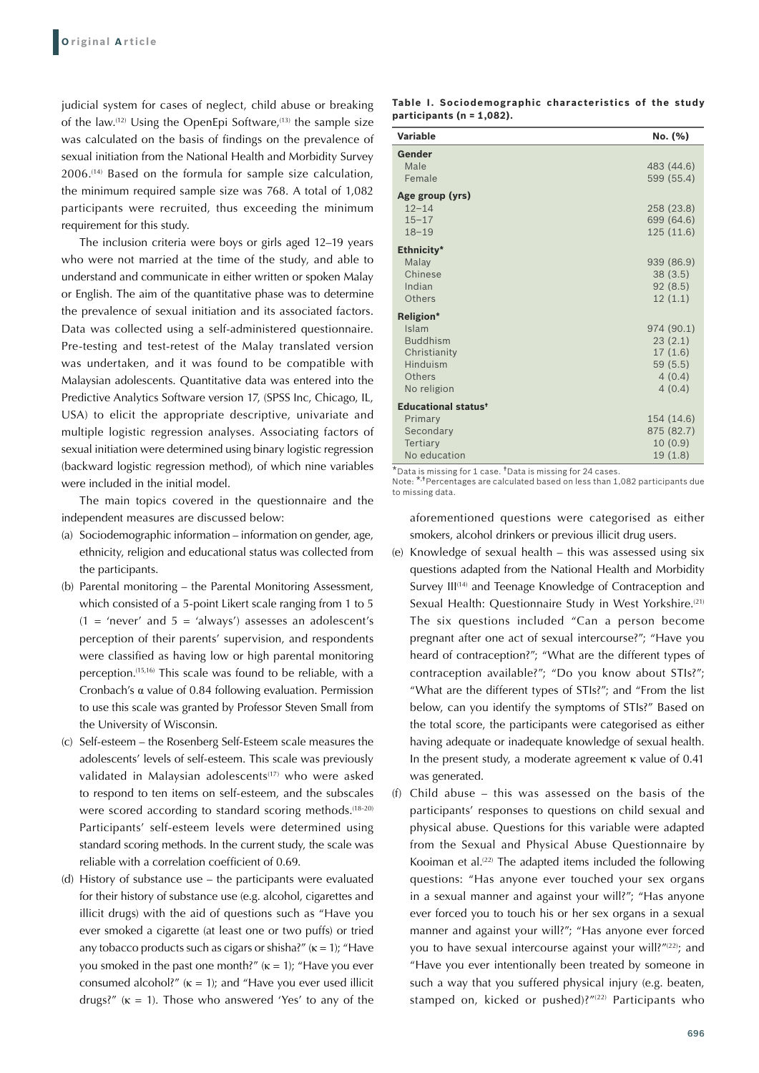judicial system for cases of neglect, child abuse or breaking of the law.(12) Using the OpenEpi Software,(13) the sample size was calculated on the basis of findings on the prevalence of sexual initiation from the National Health and Morbidity Survey 2006.(14) Based on the formula for sample size calculation, the minimum required sample size was 768. A total of 1,082 participants were recruited, thus exceeding the minimum requirement for this study.

The inclusion criteria were boys or girls aged 12–19 years who were not married at the time of the study, and able to understand and communicate in either written or spoken Malay or English. The aim of the quantitative phase was to determine the prevalence of sexual initiation and its associated factors. Data was collected using a self-administered questionnaire. Pre-testing and test-retest of the Malay translated version was undertaken, and it was found to be compatible with Malaysian adolescents. Quantitative data was entered into the Predictive Analytics Software version 17, (SPSS Inc, Chicago, IL, USA) to elicit the appropriate descriptive, univariate and multiple logistic regression analyses. Associating factors of sexual initiation were determined using binary logistic regression (backward logistic regression method), of which nine variables were included in the initial model.

The main topics covered in the questionnaire and the independent measures are discussed below:

- (a) Sociodemographic information information on gender, age, ethnicity, religion and educational status was collected from the participants.
- (b) Parental monitoring the Parental Monitoring Assessment, which consisted of a 5-point Likert scale ranging from 1 to 5  $(1 = 'never'$  and  $5 = 'always'$  assesses an adolescent's perception of their parents' supervision, and respondents were classified as having low or high parental monitoring perception.(15,16) This scale was found to be reliable, with a Cronbach's α value of 0.84 following evaluation. Permission to use this scale was granted by Professor Steven Small from the University of Wisconsin.
- (c) Self-esteem the Rosenberg Self-Esteem scale measures the adolescents' levels of self-esteem. This scale was previously validated in Malaysian adolescents<sup>(17)</sup> who were asked to respond to ten items on self-esteem, and the subscales were scored according to standard scoring methods.<sup>(18-20)</sup> Participants' self-esteem levels were determined using standard scoring methods. In the current study, the scale was reliable with a correlation coefficient of 0.69.
- (d) History of substance use the participants were evaluated for their history of substance use (e.g. alcohol, cigarettes and illicit drugs) with the aid of questions such as "Have you ever smoked a cigarette (at least one or two puffs) or tried any tobacco products such as cigars or shisha?"  $(\kappa = 1)$ ; "Have you smoked in the past one month?"  $(\kappa = 1)$ ; "Have you ever consumed alcohol?"  $(\kappa = 1)$ ; and "Have you ever used illicit drugs?"  $(\kappa = 1)$ . Those who answered 'Yes' to any of the

| Table I. Sociodemographic characteristics of the study |  |  |
|--------------------------------------------------------|--|--|
| participants ( $n = 1,082$ ).                          |  |  |

| Variable                                                                                         | No. (%)                                                         |
|--------------------------------------------------------------------------------------------------|-----------------------------------------------------------------|
| Gender<br>Male<br>Female                                                                         | 483 (44.6)<br>599 (55.4)                                        |
| Age group (yrs)<br>$12 - 14$<br>$15 - 17$<br>$18 - 19$                                           | 258 (23.8)<br>699 (64.6)<br>125 (11.6)                          |
| Ethnicity*<br>Malay<br>Chinese<br>Indian<br>Others                                               | 939 (86.9)<br>38(3.5)<br>92(8.5)<br>12(1.1)                     |
| Religion*<br>Islam<br><b>Buddhism</b><br>Christianity<br>Hinduism<br>Others<br>No religion       | 974 (90.1)<br>23(2.1)<br>17(1.6)<br>59(5.5)<br>4(0.4)<br>4(0.4) |
| <b>Educational status<sup>t</sup></b><br>Primary<br>Secondary<br><b>Tertiarv</b><br>No education | 154 (14.6)<br>875 (82.7)<br>10(0.9)<br>19 (1.8)                 |

\*Data is missing for 1 case. †Data is missing for 24 cases.

Note: \*, †Percentages are calculated based on less than 1,082 participants due to missing data.

aforementioned questions were categorised as either smokers, alcohol drinkers or previous illicit drug users.

- (e) Knowledge of sexual health this was assessed using six questions adapted from the National Health and Morbidity Survey III<sup>(14)</sup> and Teenage Knowledge of Contraception and Sexual Health: Questionnaire Study in West Yorkshire.<sup>(21)</sup> The six questions included "Can a person become pregnant after one act of sexual intercourse?"; "Have you heard of contraception?"; "What are the different types of contraception available?"; "Do you know about STIs?"; "What are the different types of STIs?"; and "From the list below, can you identify the symptoms of STIs?" Based on the total score, the participants were categorised as either having adequate or inadequate knowledge of sexual health. In the present study, a moderate agreement κ value of 0.41 was generated.
- (f) Child abuse this was assessed on the basis of the participants' responses to questions on child sexual and physical abuse. Questions for this variable were adapted from the Sexual and Physical Abuse Questionnaire by Kooiman et al.<sup> $(22)$ </sup> The adapted items included the following questions: "Has anyone ever touched your sex organs in a sexual manner and against your will?"; "Has anyone ever forced you to touch his or her sex organs in a sexual manner and against your will?"; "Has anyone ever forced you to have sexual intercourse against your will?"(22); and "Have you ever intentionally been treated by someone in such a way that you suffered physical injury (e.g. beaten, stamped on, kicked or pushed)?"(22) Participants who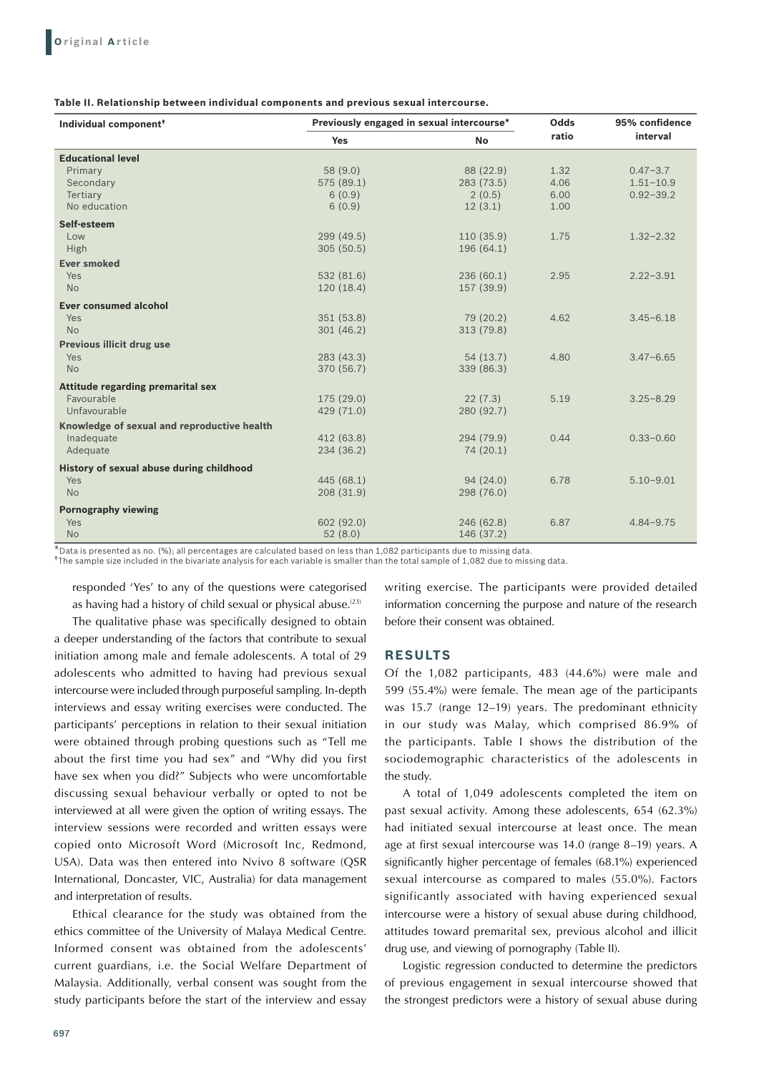| Table II. Relationship between individual components and previous sexual intercourse. |  |  |  |
|---------------------------------------------------------------------------------------|--|--|--|
|---------------------------------------------------------------------------------------|--|--|--|

| Individual component <sup>+</sup>           | Previously engaged in sexual intercourse* |            | Odds  | 95% confidence |
|---------------------------------------------|-------------------------------------------|------------|-------|----------------|
|                                             | <b>Yes</b>                                | <b>No</b>  | ratio | interval       |
| <b>Educational level</b>                    |                                           |            |       |                |
| Primary                                     | 58 (9.0)                                  | 88 (22.9)  | 1.32  | $0.47 - 3.7$   |
| Secondary                                   | 575 (89.1)                                | 283 (73.5) | 4.06  | $1.51 - 10.9$  |
| Tertiary                                    | 6(0.9)                                    | 2(0.5)     | 6.00  | $0.92 - 39.2$  |
| No education                                | 6(0.9)                                    | 12(3.1)    | 1.00  |                |
| Self-esteem                                 |                                           |            |       |                |
| Low                                         | 299 (49.5)                                | 110(35.9)  | 1.75  | $1.32 - 2.32$  |
| High                                        | 305(50.5)                                 | 196 (64.1) |       |                |
| <b>Ever smoked</b>                          |                                           |            |       |                |
| Yes                                         | 532 (81.6)                                | 236 (60.1) | 2.95  | $2.22 - 3.91$  |
| <b>No</b>                                   | 120 (18.4)                                | 157 (39.9) |       |                |
| <b>Ever consumed alcohol</b>                |                                           |            |       |                |
| Yes                                         | 351(53.8)                                 | 79 (20.2)  | 4.62  | $3.45 - 6.18$  |
| <b>No</b>                                   | 301(46.2)                                 | 313 (79.8) |       |                |
| <b>Previous illicit drug use</b>            |                                           |            |       |                |
| Yes                                         | 283 (43.3)                                | 54(13.7)   | 4.80  | $3.47 - 6.65$  |
| <b>No</b>                                   | 370 (56.7)                                | 339 (86.3) |       |                |
| <b>Attitude regarding premarital sex</b>    |                                           |            |       |                |
| Favourable                                  | 175 (29.0)                                | 22(7.3)    | 5.19  | $3.25 - 8.29$  |
| Unfavourable                                | 429 (71.0)                                | 280 (92.7) |       |                |
| Knowledge of sexual and reproductive health |                                           |            |       |                |
| Inadequate                                  | 412 (63.8)                                | 294 (79.9) | 0.44  | $0.33 - 0.60$  |
| Adequate                                    | 234 (36.2)                                | 74 (20.1)  |       |                |
| History of sexual abuse during childhood    |                                           |            |       |                |
| Yes                                         | 445 (68.1)                                | 94(24.0)   | 6.78  | $5.10 - 9.01$  |
| <b>No</b>                                   | 208(31.9)                                 | 298 (76.0) |       |                |
| <b>Pornography viewing</b>                  |                                           |            |       |                |
| Yes                                         | 602 (92.0)                                | 246 (62.8) | 6.87  | $4.84 - 9.75$  |
| <b>No</b>                                   | 52(8.0)                                   | 146 (37.2) |       |                |

\*Data is presented as no. (%); all percentages are calculated based on less than 1,082 participants due to missing data.

†The sample size included in the bivariate analysis for each variable is smaller than the total sample of 1,082 due to missing data.

responded 'Yes' to any of the questions were categorised as having had a history of child sexual or physical abuse. $(23)$ 

The qualitative phase was specifically designed to obtain a deeper understanding of the factors that contribute to sexual initiation among male and female adolescents. A total of 29 adolescents who admitted to having had previous sexual intercourse were included through purposeful sampling. In-depth interviews and essay writing exercises were conducted. The participants' perceptions in relation to their sexual initiation were obtained through probing questions such as "Tell me about the first time you had sex" and "Why did you first have sex when you did?" Subjects who were uncomfortable discussing sexual behaviour verbally or opted to not be interviewed at all were given the option of writing essays. The interview sessions were recorded and written essays were copied onto Microsoft Word (Microsoft Inc, Redmond, USA). Data was then entered into Nvivo 8 software (QSR International, Doncaster, VIC, Australia) for data management and interpretation of results.

Ethical clearance for the study was obtained from the ethics committee of the University of Malaya Medical Centre. Informed consent was obtained from the adolescents' current guardians, i.e. the Social Welfare Department of Malaysia. Additionally, verbal consent was sought from the study participants before the start of the interview and essay

writing exercise. The participants were provided detailed information concerning the purpose and nature of the research before their consent was obtained.

## **RESULTS**

Of the 1,082 participants, 483 (44.6%) were male and 599 (55.4%) were female. The mean age of the participants was 15.7 (range 12–19) years. The predominant ethnicity in our study was Malay, which comprised 86.9% of the participants. Table I shows the distribution of the sociodemographic characteristics of the adolescents in the study.

A total of 1,049 adolescents completed the item on past sexual activity. Among these adolescents, 654 (62.3%) had initiated sexual intercourse at least once. The mean age at first sexual intercourse was 14.0 (range 8–19) years. A significantly higher percentage of females (68.1%) experienced sexual intercourse as compared to males (55.0%). Factors significantly associated with having experienced sexual intercourse were a history of sexual abuse during childhood, attitudes toward premarital sex, previous alcohol and illicit drug use, and viewing of pornography (Table II).

Logistic regression conducted to determine the predictors of previous engagement in sexual intercourse showed that the strongest predictors were a history of sexual abuse during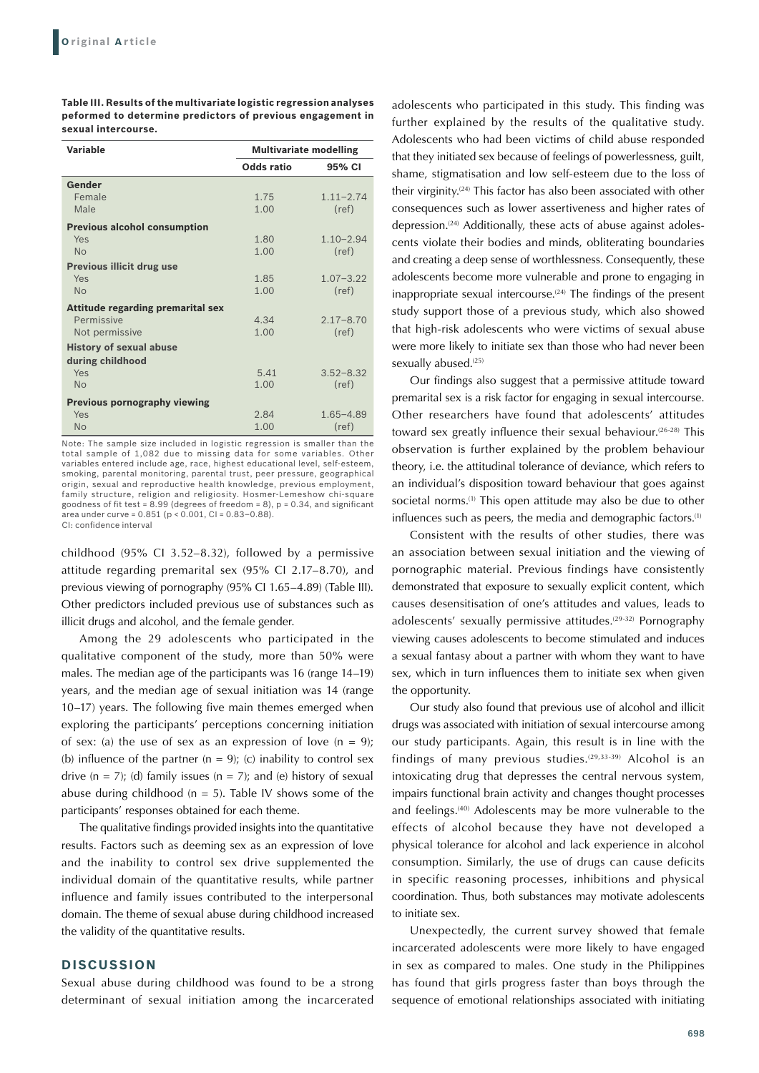| <b>Variable</b>                          | <b>Multivariate modelling</b> |               |
|------------------------------------------|-------------------------------|---------------|
|                                          | Odds ratio                    | 95% CI        |
| Gender                                   |                               |               |
| Female                                   | 1.75                          | $1.11 - 2.74$ |
| Male                                     | 1.00                          | (ref)         |
| <b>Previous alcohol consumption</b>      |                               |               |
| Yes                                      | 1.80                          | $1.10 - 2.94$ |
| No                                       | 1.00                          | (ref)         |
| <b>Previous illicit drug use</b>         |                               |               |
| Yes                                      | 1.85                          | $1.07 - 3.22$ |
| <b>No</b>                                | 1.00                          | (ref)         |
| <b>Attitude regarding premarital sex</b> |                               |               |
| Permissive                               | 4.34                          | $2.17 - 8.70$ |
| Not permissive                           | 1.00                          | (ref)         |
| <b>History of sexual abuse</b>           |                               |               |
| during childhood                         |                               |               |
| Yes                                      | 5.41                          | $3.52 - 8.32$ |
| <b>No</b>                                | 1.00                          | (ref)         |
| <b>Previous pornography viewing</b>      |                               |               |
| Yes                                      | 2.84                          | $1.65 - 4.89$ |
| <b>No</b>                                | 1.00                          | (ref)         |

**Table III. Results of the multivariate logistic regression analyses peformed to determine predictors of previous engagement in sexual intercourse.**

Note: The sample size included in logistic regression is smaller than the total sample of 1,082 due to missing data for some variables. Other variables entered include age, race, highest educational level, self-esteem, smoking, parental monitoring, parental trust, peer pressure, geographical origin, sexual and reproductive health knowledge, previous employment, family structure, religion and religiosity. Hosmer-Lemeshow chi-square goodness of fit test =  $8.99$  (degrees of freedom =  $8$ ), p = 0.34, and significant area under curve =  $0.851$  (p <  $0.001$ , CI =  $0.83-0.88$ ). CI: confidence interval

childhood (95% CI 3.52–8.32), followed by a permissive attitude regarding premarital sex (95% CI 2.17–8.70), and previous viewing of pornography (95% CI 1.65–4.89) (Table III). Other predictors included previous use of substances such as illicit drugs and alcohol, and the female gender.

Among the 29 adolescents who participated in the qualitative component of the study, more than 50% were males. The median age of the participants was 16 (range 14–19) years, and the median age of sexual initiation was 14 (range 10–17) years. The following five main themes emerged when exploring the participants' perceptions concerning initiation of sex: (a) the use of sex as an expression of love ( $n = 9$ ); (b) influence of the partner ( $n = 9$ ); (c) inability to control sex drive  $(n = 7)$ ; (d) family issues  $(n = 7)$ ; and (e) history of sexual abuse during childhood ( $n = 5$ ). Table IV shows some of the participants' responses obtained for each theme.

The qualitative findings provided insights into the quantitative results. Factors such as deeming sex as an expression of love and the inability to control sex drive supplemented the individual domain of the quantitative results, while partner influence and family issues contributed to the interpersonal domain. The theme of sexual abuse during childhood increased the validity of the quantitative results.

#### **DISCUSSION**

Sexual abuse during childhood was found to be a strong determinant of sexual initiation among the incarcerated

adolescents who participated in this study. This finding was further explained by the results of the qualitative study. Adolescents who had been victims of child abuse responded that they initiated sex because of feelings of powerlessness, guilt, shame, stigmatisation and low self-esteem due to the loss of their virginity.(24) This factor has also been associated with other consequences such as lower assertiveness and higher rates of depression.<sup>(24)</sup> Additionally, these acts of abuse against adolescents violate their bodies and minds, obliterating boundaries and creating a deep sense of worthlessness. Consequently, these adolescents become more vulnerable and prone to engaging in inappropriate sexual intercourse.<sup> $(24)$ </sup> The findings of the present study support those of a previous study, which also showed that high-risk adolescents who were victims of sexual abuse were more likely to initiate sex than those who had never been sexually abused.<sup>(25)</sup>

Our findings also suggest that a permissive attitude toward premarital sex is a risk factor for engaging in sexual intercourse. Other researchers have found that adolescents' attitudes toward sex greatly influence their sexual behaviour.(26-28) This observation is further explained by the problem behaviour theory, i.e. the attitudinal tolerance of deviance, which refers to an individual's disposition toward behaviour that goes against societal norms.<sup>(1)</sup> This open attitude may also be due to other influences such as peers, the media and demographic factors.<sup>(1)</sup>

Consistent with the results of other studies, there was an association between sexual initiation and the viewing of pornographic material. Previous findings have consistently demonstrated that exposure to sexually explicit content, which causes desensitisation of one's attitudes and values, leads to adolescents' sexually permissive attitudes.<sup>(29-32)</sup> Pornography viewing causes adolescents to become stimulated and induces a sexual fantasy about a partner with whom they want to have sex, which in turn influences them to initiate sex when given the opportunity.

Our study also found that previous use of alcohol and illicit drugs was associated with initiation of sexual intercourse among our study participants. Again, this result is in line with the findings of many previous studies.<sup>(29,33-39)</sup> Alcohol is an intoxicating drug that depresses the central nervous system, impairs functional brain activity and changes thought processes and feelings.<sup>(40)</sup> Adolescents may be more vulnerable to the effects of alcohol because they have not developed a physical tolerance for alcohol and lack experience in alcohol consumption. Similarly, the use of drugs can cause deficits in specific reasoning processes, inhibitions and physical coordination. Thus, both substances may motivate adolescents to initiate sex.

Unexpectedly, the current survey showed that female incarcerated adolescents were more likely to have engaged in sex as compared to males. One study in the Philippines has found that girls progress faster than boys through the sequence of emotional relationships associated with initiating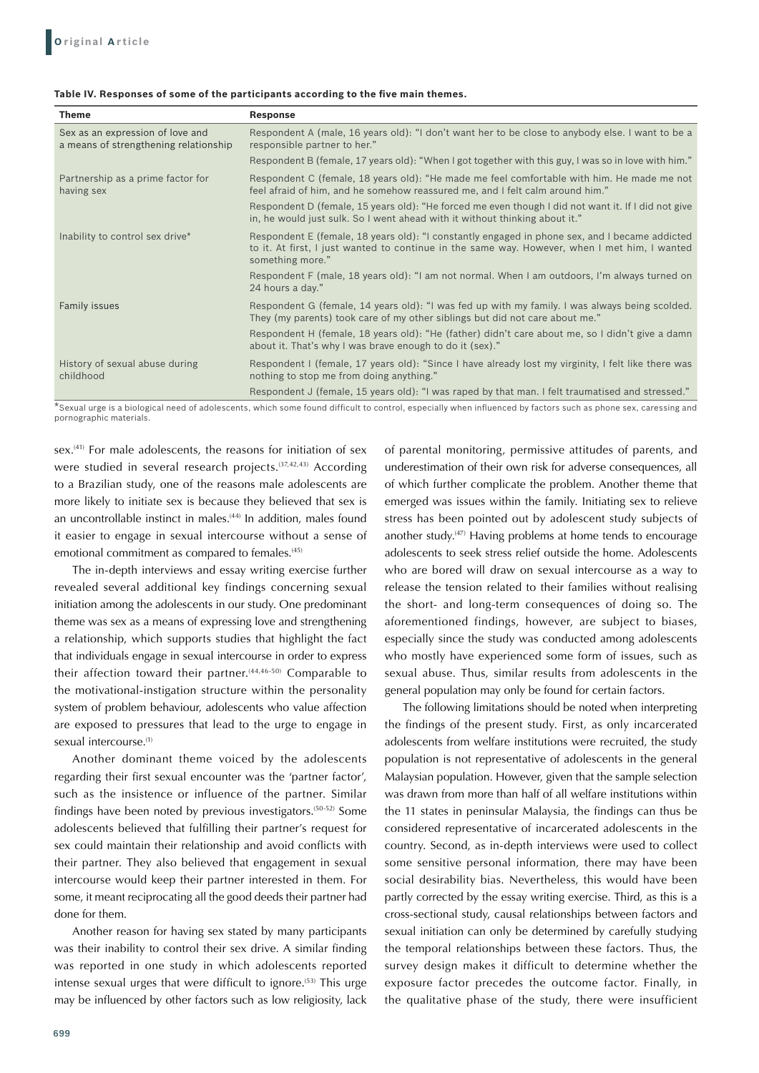#### **Table IV. Responses of some of the participants according to the five main themes.**

| Theme                                                                     | <b>Response</b>                                                                                                                                                                                                     |
|---------------------------------------------------------------------------|---------------------------------------------------------------------------------------------------------------------------------------------------------------------------------------------------------------------|
| Sex as an expression of love and<br>a means of strengthening relationship | Respondent A (male, 16 years old): "I don't want her to be close to anybody else. I want to be a<br>responsible partner to her."                                                                                    |
|                                                                           | "Respondent B (female, 17 years old): "When I got together with this guy, I was so in love with him."                                                                                                               |
| Partnership as a prime factor for<br>having sex                           | Respondent C (female, 18 years old): "He made me feel comfortable with him. He made me not<br>feel afraid of him, and he somehow reassured me, and I felt calm around him."                                         |
|                                                                           | Respondent D (female, 15 years old): "He forced me even though I did not want it. If I did not give<br>in, he would just sulk. So I went ahead with it without thinking about it."                                  |
| Inability to control sex drive*                                           | Respondent E (female, 18 years old): "I constantly engaged in phone sex, and I became addicted<br>to it. At first, I just wanted to continue in the same way. However, when I met him, I wanted<br>something more." |
|                                                                           | Respondent F (male, 18 years old): "I am not normal. When I am outdoors, I'm always turned on<br>24 hours a day."                                                                                                   |
| <b>Family issues</b>                                                      | Respondent G (female, 14 years old): "I was fed up with my family. I was always being scolded.<br>They (my parents) took care of my other siblings but did not care about me."                                      |
|                                                                           | Respondent H (female, 18 years old): "He (father) didn't care about me, so I didn't give a damn<br>about it. That's why I was brave enough to do it (sex)."                                                         |
| History of sexual abuse during<br>childhood                               | Respondent I (female, 17 years old): "Since I have already lost my virginity, I felt like there was<br>nothing to stop me from doing anything."                                                                     |
|                                                                           | Respondent J (female, 15 years old): "I was raped by that man. I felt traumatised and stressed."                                                                                                                    |

\*Sexual urge is a biological need of adolescents, which some found difficult to control, especially when influenced by factors such as phone sex, caressing and pornographic materials.

sex.<sup>(41)</sup> For male adolescents, the reasons for initiation of sex were studied in several research projects.<sup>(37,42,43)</sup> According to a Brazilian study, one of the reasons male adolescents are more likely to initiate sex is because they believed that sex is an uncontrollable instinct in males.<sup>(44)</sup> In addition, males found it easier to engage in sexual intercourse without a sense of emotional commitment as compared to females.<sup>(45)</sup>

The in-depth interviews and essay writing exercise further revealed several additional key findings concerning sexual initiation among the adolescents in our study. One predominant theme was sex as a means of expressing love and strengthening a relationship, which supports studies that highlight the fact that individuals engage in sexual intercourse in order to express their affection toward their partner.<sup>(44,46-50)</sup> Comparable to the motivational-instigation structure within the personality system of problem behaviour, adolescents who value affection are exposed to pressures that lead to the urge to engage in sexual intercourse.<sup>(1)</sup>

Another dominant theme voiced by the adolescents regarding their first sexual encounter was the 'partner factor', such as the insistence or influence of the partner. Similar findings have been noted by previous investigators.(50-52) Some adolescents believed that fulfilling their partner's request for sex could maintain their relationship and avoid conflicts with their partner. They also believed that engagement in sexual intercourse would keep their partner interested in them. For some, it meant reciprocating all the good deeds their partner had done for them.

Another reason for having sex stated by many participants was their inability to control their sex drive. A similar finding was reported in one study in which adolescents reported intense sexual urges that were difficult to ignore.(53) This urge may be influenced by other factors such as low religiosity, lack of parental monitoring, permissive attitudes of parents, and underestimation of their own risk for adverse consequences, all of which further complicate the problem. Another theme that emerged was issues within the family. Initiating sex to relieve stress has been pointed out by adolescent study subjects of another study.<sup>(47)</sup> Having problems at home tends to encourage adolescents to seek stress relief outside the home. Adolescents who are bored will draw on sexual intercourse as a way to release the tension related to their families without realising the short- and long-term consequences of doing so. The aforementioned findings, however, are subject to biases, especially since the study was conducted among adolescents who mostly have experienced some form of issues, such as sexual abuse. Thus, similar results from adolescents in the general population may only be found for certain factors.

The following limitations should be noted when interpreting the findings of the present study. First, as only incarcerated adolescents from welfare institutions were recruited, the study population is not representative of adolescents in the general Malaysian population. However, given that the sample selection was drawn from more than half of all welfare institutions within the 11 states in peninsular Malaysia, the findings can thus be considered representative of incarcerated adolescents in the country. Second, as in-depth interviews were used to collect some sensitive personal information, there may have been social desirability bias. Nevertheless, this would have been partly corrected by the essay writing exercise. Third, as this is a cross-sectional study, causal relationships between factors and sexual initiation can only be determined by carefully studying the temporal relationships between these factors. Thus, the survey design makes it difficult to determine whether the exposure factor precedes the outcome factor. Finally, in the qualitative phase of the study, there were insufficient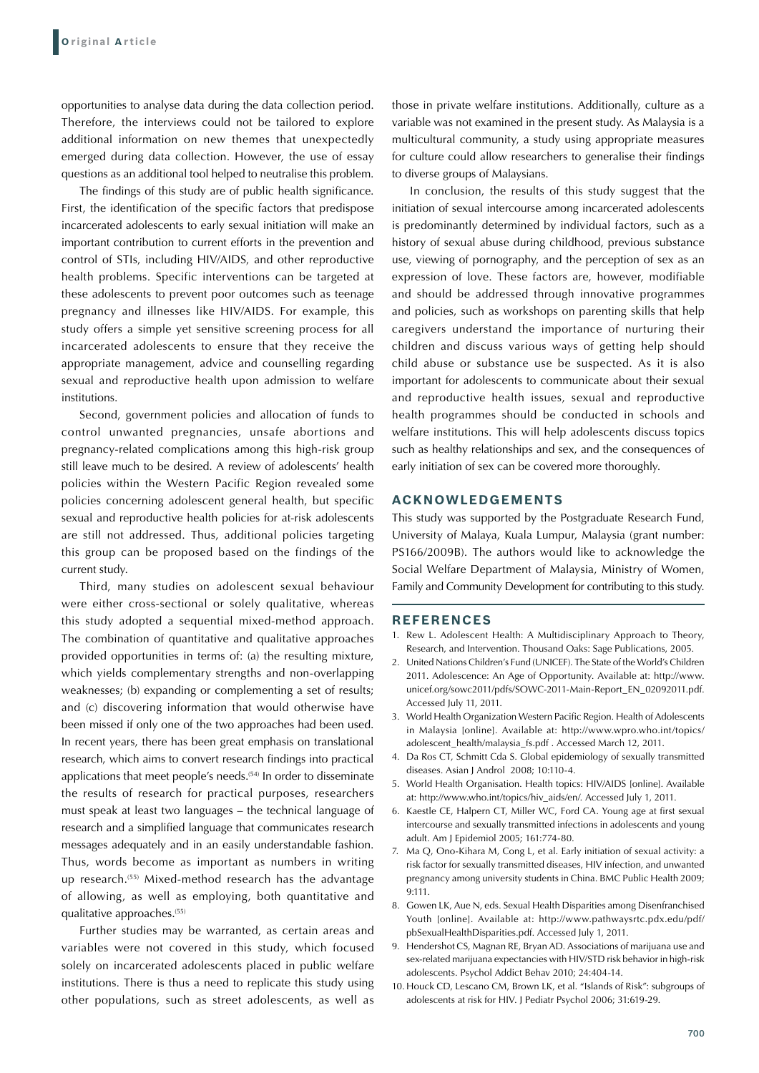opportunities to analyse data during the data collection period. Therefore, the interviews could not be tailored to explore additional information on new themes that unexpectedly emerged during data collection. However, the use of essay questions as an additional tool helped to neutralise this problem.

The findings of this study are of public health significance. First, the identification of the specific factors that predispose incarcerated adolescents to early sexual initiation will make an important contribution to current efforts in the prevention and control of STIs, including HIV/AIDS, and other reproductive health problems. Specific interventions can be targeted at these adolescents to prevent poor outcomes such as teenage pregnancy and illnesses like HIV/AIDS. For example, this study offers a simple yet sensitive screening process for all incarcerated adolescents to ensure that they receive the appropriate management, advice and counselling regarding sexual and reproductive health upon admission to welfare institutions.

Second, government policies and allocation of funds to control unwanted pregnancies, unsafe abortions and pregnancy-related complications among this high-risk group still leave much to be desired. A review of adolescents' health policies within the Western Pacific Region revealed some policies concerning adolescent general health, but specific sexual and reproductive health policies for at-risk adolescents are still not addressed. Thus, additional policies targeting this group can be proposed based on the findings of the current study.

Third, many studies on adolescent sexual behaviour were either cross-sectional or solely qualitative, whereas this study adopted a sequential mixed-method approach. The combination of quantitative and qualitative approaches provided opportunities in terms of: (a) the resulting mixture, which yields complementary strengths and non-overlapping weaknesses; (b) expanding or complementing a set of results; and (c) discovering information that would otherwise have been missed if only one of the two approaches had been used. In recent years, there has been great emphasis on translational research, which aims to convert research findings into practical applications that meet people's needs.<sup>(54)</sup> In order to disseminate the results of research for practical purposes, researchers must speak at least two languages – the technical language of research and a simplified language that communicates research messages adequately and in an easily understandable fashion. Thus, words become as important as numbers in writing up research.<sup>(55)</sup> Mixed-method research has the advantage of allowing, as well as employing, both quantitative and qualitative approaches.(55)

Further studies may be warranted, as certain areas and variables were not covered in this study, which focused solely on incarcerated adolescents placed in public welfare institutions. There is thus a need to replicate this study using other populations, such as street adolescents, as well as

those in private welfare institutions. Additionally, culture as a variable was not examined in the present study. As Malaysia is a multicultural community, a study using appropriate measures for culture could allow researchers to generalise their findings to diverse groups of Malaysians.

In conclusion, the results of this study suggest that the initiation of sexual intercourse among incarcerated adolescents is predominantly determined by individual factors, such as a history of sexual abuse during childhood, previous substance use, viewing of pornography, and the perception of sex as an expression of love. These factors are, however, modifiable and should be addressed through innovative programmes and policies, such as workshops on parenting skills that help caregivers understand the importance of nurturing their children and discuss various ways of getting help should child abuse or substance use be suspected. As it is also important for adolescents to communicate about their sexual and reproductive health issues, sexual and reproductive health programmes should be conducted in schools and welfare institutions. This will help adolescents discuss topics such as healthy relationships and sex, and the consequences of early initiation of sex can be covered more thoroughly.

# **Acknowledgements**

This study was supported by the Postgraduate Research Fund, University of Malaya, Kuala Lumpur, Malaysia (grant number: PS166/2009B). The authors would like to acknowledge the Social Welfare Department of Malaysia, Ministry of Women, Family and Community Development for contributing to this study.

#### **REFERENCES**

- 1. Rew L. Adolescent Health: A Multidisciplinary Approach to Theory, Research, and Intervention. Thousand Oaks: Sage Publications, 2005.
- 2. United Nations Children's Fund (UNICEF). The State of the World's Children 2011. Adolescence: An Age of Opportunity. Available at: http://www. unicef.org/sowc2011/pdfs/SOWC-2011-Main-Report\_EN\_02092011.pdf. Accessed July 11, 2011.
- 3. World Health Organization Western Pacific Region. Health of Adolescents in Malaysia [online]. Available at: http://www.wpro.who.int/topics/ adolescent\_health/malaysia\_fs.pdf . Accessed March 12, 2011.
- 4. Da Ros CT, Schmitt Cda S. Global epidemiology of sexually transmitted diseases. Asian J Androl 2008; 10:110-4.
- 5. World Health Organisation. Health topics: HIV/AIDS [online]. Available at: http://www.who.int/topics/hiv\_aids/en/. Accessed July 1, 2011.
- 6. Kaestle CE, Halpern CT, Miller WC, Ford CA. Young age at first sexual intercourse and sexually transmitted infections in adolescents and young adult. Am J Epidemiol 2005; 161:774-80.
- 7. Ma Q, Ono-Kihara M, Cong L, et al. Early initiation of sexual activity: a risk factor for sexually transmitted diseases, HIV infection, and unwanted pregnancy among university students in China. BMC Public Health 2009; 9:111.
- 8. Gowen LK, Aue N, eds. Sexual Health Disparities among Disenfranchised Youth [online]. Available at: http://www.pathwaysrtc.pdx.edu/pdf/ pbSexualHealthDisparities.pdf. Accessed July 1, 2011.
- 9. Hendershot CS, Magnan RE, Bryan AD. Associations of marijuana use and sex-related marijuana expectancies with HIV/STD risk behavior in high-risk adolescents. Psychol Addict Behav 2010; 24:404-14.
- 10. Houck CD, Lescano CM, Brown LK, et al. "Islands of Risk": subgroups of adolescents at risk for HIV. J Pediatr Psychol 2006; 31:619-29.